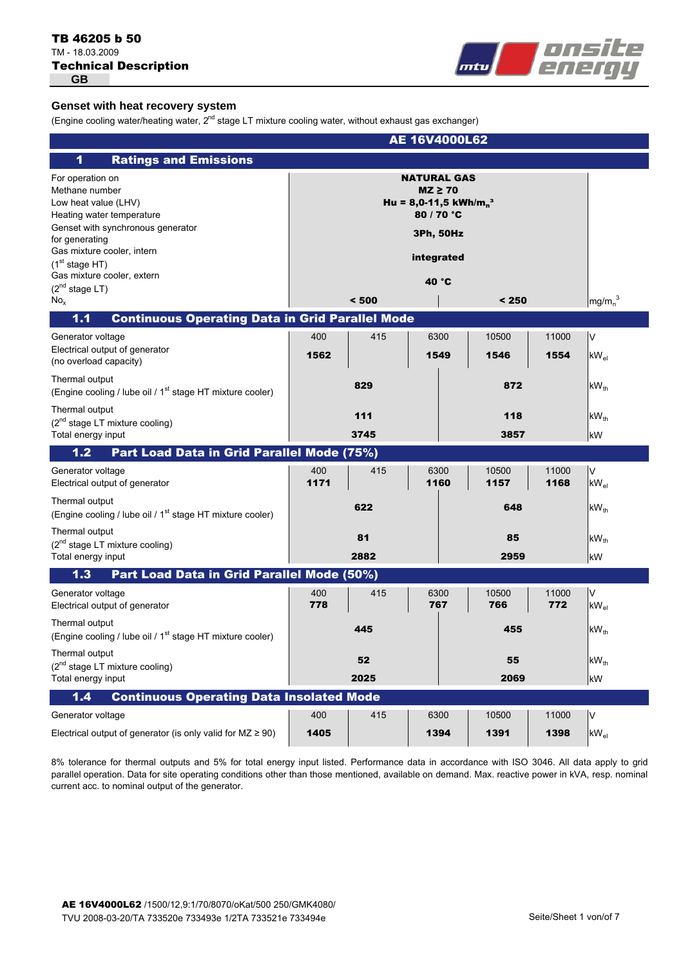# Technical Description TB 46205 b 50 TM - 18.03.2009 **GB**



# **Genset with heat recovery system**

(Engine cooling water/heating water,  $2^{nd}$  stage LT mixture cooling water, without exhaust gas exchanger)

| AE 16V4000L62                                                                                                                                                                                                                                                             |             |             |                                                                                      |                                                        |               |                                |
|---------------------------------------------------------------------------------------------------------------------------------------------------------------------------------------------------------------------------------------------------------------------------|-------------|-------------|--------------------------------------------------------------------------------------|--------------------------------------------------------|---------------|--------------------------------|
| <b>Ratings and Emissions</b><br>1                                                                                                                                                                                                                                         |             |             |                                                                                      |                                                        |               |                                |
| For operation on<br>Methane number<br>Low heat value (LHV)<br>Heating water temperature<br>Genset with synchronous generator<br>for generating<br>Gas mixture cooler, intern<br>(1 <sup>st</sup> stage HT)<br>Gas mixture cooler, extern<br>$(2^{nd}$ stage LT)<br>$No_x$ |             | < 500       | <b>NATURAL GAS</b><br>$MZ \geq 70$<br>80 / 70 °C<br>3Ph, 50Hz<br>integrated<br>40 °C | Hu = 8,0-11,5 kWh/m <sub>n</sub> <sup>3</sup><br>< 250 |               | mg/m <sub>n</sub> <sup>3</sup> |
| <b>Continuous Operating Data in Grid Parallel Mode</b><br>1.1                                                                                                                                                                                                             |             |             |                                                                                      |                                                        |               |                                |
| Generator voltage<br>Electrical output of generator<br>(no overload capacity)                                                                                                                                                                                             | 400<br>1562 | 415         | 6300<br>1549                                                                         | 10500<br>1546                                          | 11000<br>1554 | ١v<br>$kW_{el}$                |
| Thermal output<br>(Engine cooling / lube oil / 1 <sup>st</sup> stage HT mixture cooler)                                                                                                                                                                                   |             | 829         |                                                                                      | 872                                                    |               | $kW_{th}$                      |
| Thermal output<br>$(2nd stage LT mixture cooling)$<br>Total energy input                                                                                                                                                                                                  |             | 111<br>3745 |                                                                                      | 118<br>3857                                            |               | $kW_{th}$<br>kW                |
| Part Load Data in Grid Parallel Mode (75%)<br>$1.2$                                                                                                                                                                                                                       |             |             |                                                                                      |                                                        |               |                                |
| Generator voltage<br>Electrical output of generator                                                                                                                                                                                                                       | 400<br>1171 | 415         | 6300<br>1160                                                                         | 10500<br>1157                                          | 11000<br>1168 | l٧<br>$kW_{el}$                |
| Thermal output<br>(Engine cooling / lube oil / 1 <sup>st</sup> stage HT mixture cooler)                                                                                                                                                                                   |             | 622         |                                                                                      | 648                                                    |               | $kW_{th}$                      |
| Thermal output<br>$(2^{nd}$ stage LT mixture cooling)<br>Total energy input                                                                                                                                                                                               |             | 81<br>2882  |                                                                                      | 85<br>2959                                             |               | $kW_{th}$<br>kW                |
| Part Load Data in Grid Parallel Mode (50%)<br>1.3                                                                                                                                                                                                                         |             |             |                                                                                      |                                                        |               |                                |
| Generator voltage<br>Electrical output of generator                                                                                                                                                                                                                       | 400<br>778  | 415         | 6300<br>767                                                                          | 10500<br>766                                           | 11000<br>772  | ١v<br>$kW_{el}$                |
| Thermal output<br>(Engine cooling / lube oil / 1 <sup>st</sup> stage HT mixture cooler)                                                                                                                                                                                   |             | 445         |                                                                                      | 455                                                    |               | $kW_{th}$                      |
| Thermal output<br>(2 <sup>nd</sup> stage LT mixture cooling)<br>Total energy input                                                                                                                                                                                        |             | 52<br>2025  |                                                                                      | 55<br>2069                                             |               | $kW_{th}$<br>kW                |
| $1.4$<br><b>Continuous Operating Data Insolated Mode</b>                                                                                                                                                                                                                  |             |             |                                                                                      |                                                        |               |                                |
| Generator voltage                                                                                                                                                                                                                                                         | 400         | 415         | 6300                                                                                 | 10500                                                  | 11000         | V                              |
| Electrical output of generator (is only valid for $MZ \ge 90$ )                                                                                                                                                                                                           | 1405        |             | 1394                                                                                 | 1391                                                   | 1398          | $kW_{el}$                      |

8% tolerance for thermal outputs and 5% for total energy input listed. Performance data in accordance with ISO 3046. All data apply to grid parallel operation. Data for site operating conditions other than those mentioned, available on demand. Max. reactive power in kVA, resp. nominal current acc. to nominal output of the generator.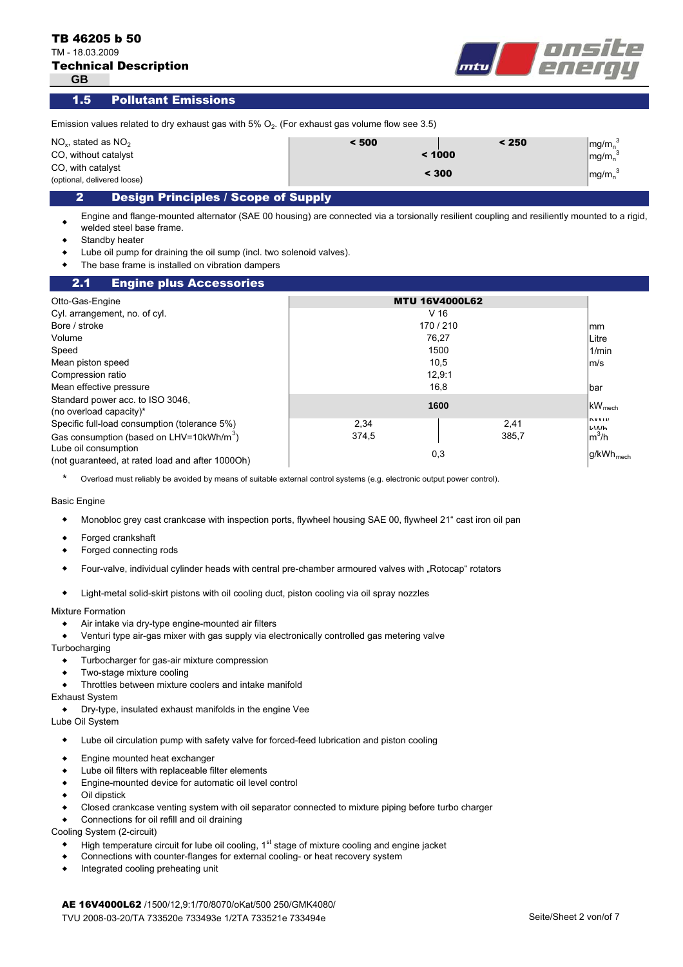TM - 18.03.2009

**GB**

| <b>Technical Description</b> |  |
|------------------------------|--|
|------------------------------|--|



Pollutant Emissions 1.5

| Emission values related to dry exhaust gas with $5\%$ O <sub>2</sub> . (For exhaust gas volume flow see 3.5) |        |       |                                |
|--------------------------------------------------------------------------------------------------------------|--------|-------|--------------------------------|
| $NO2$ , stated as $NO2$                                                                                      | < 500  | < 250 | $mg/m_n^3$                     |
| CO, without catalyst                                                                                         | < 1000 |       | mg/m <sub>n</sub> <sup>3</sup> |
| CO, with catalyst<br>(optional, delivered loose)                                                             | < 300  |       | mg/m <sub>n</sub> <sup>3</sup> |
| Decian Dringinles / Scono of Sunnly                                                                          |        |       |                                |

# 2 Design Principles / Scope of Supply

 $\bullet$ Engine and flange-mounted alternator (SAE 00 housing) are connected via a torsionally resilient coupling and resiliently mounted to a rigid, welded steel base frame.

- $\bullet$ Standby heater
- $\bullet$ Lube oil pump for draining the oil sump (incl. two solenoid valves).
- $\bullet$ The base frame is installed on vibration dampers

#### mm Litre 1/min m/s bar  $kW$ <sub>mech</sub> kWh/ kWh m ${}^{3}$ /h g/kWh<sub>mech</sub> 2.1 Engine plus Accessories Cyl. arrangement, no. of cyl. Otto-Gas-Engine **MTU 16V4000L62** Volume V 16 Bore / stroke 170 / 210 Speed the control of the control of the control of the control of the control of the control of the control of the control of the control of the control of the control of the control of the control of the control of the co Mean piston speed 10,5 Standard power acc. to ISO 3046, (no overload capacity)\* **<sup>1600</sup>** Mean effective pressure 12,9:1 374,5 385,7 Specific full-load consumption (tolerance 5%) 2,34 Gas consumption (based on LHV=10kWh/m<sup>3</sup>) Compression ratio Lube oil consumption (not guaranteed, at rated load and after 1000Oh) 0,3 2,41 16,8 76,27

\* Overload must reliably be avoided by means of suitable external control systems (e.g. electronic output power control).

#### Basic Engine

- $\bullet$ Monobloc grey cast crankcase with inspection ports, flywheel housing SAE 00, flywheel 21" cast iron oil pan
- $\bullet$ Forged crankshaft
- $\bullet$ Forged connecting rods
- $\bullet$ Four-valve, individual cylinder heads with central pre-chamber armoured valves with "Rotocap" rotators
- $\bullet$ Light-metal solid-skirt pistons with oil cooling duct, piston cooling via oil spray nozzles

#### Mixture Formation

- $\bullet$ Air intake via dry-type engine-mounted air filters
- $\bullet$ Venturi type air-gas mixer with gas supply via electronically controlled gas metering valve

**Turbocharging** 

- $\bullet$ Turbocharger for gas-air mixture compression
- $\bullet$ Two-stage mixture cooling
- $\bullet$ Throttles between mixture coolers and intake manifold

# Exhaust System

- $\bullet$ Dry-type, insulated exhaust manifolds in the engine Vee
- Lube Oil System
	- $\blacklozenge$ Lube oil circulation pump with safety valve for forced-feed lubrication and piston cooling
	- $\bullet$ Engine mounted heat exchanger
	- $\bullet$ Lube oil filters with replaceable filter elements
	- $\bullet$ Engine-mounted device for automatic oil level control
	- $\bullet$ Oil dipstick
	- $\bullet$ Closed crankcase venting system with oil separator connected to mixture piping before turbo charger
	- $\bullet$ Connections for oil refill and oil draining

Cooling System (2-circuit)

- $\blacklozenge$ High temperature circuit for lube oil cooling,  $1<sup>st</sup>$  stage of mixture cooling and engine jacket
- $\bullet$ Connections with counter-flanges for external cooling- or heat recovery system
- $\bullet$ Integrated cooling preheating unit

AE 16V4000L62 /1500/12,9:1/70/8070/oKat/500 250/GMK4080/ TVU 2008-03-20/TA 733520e 733493e 1/2TA 733521e 733494e Seite/Sheet 2 von/of 7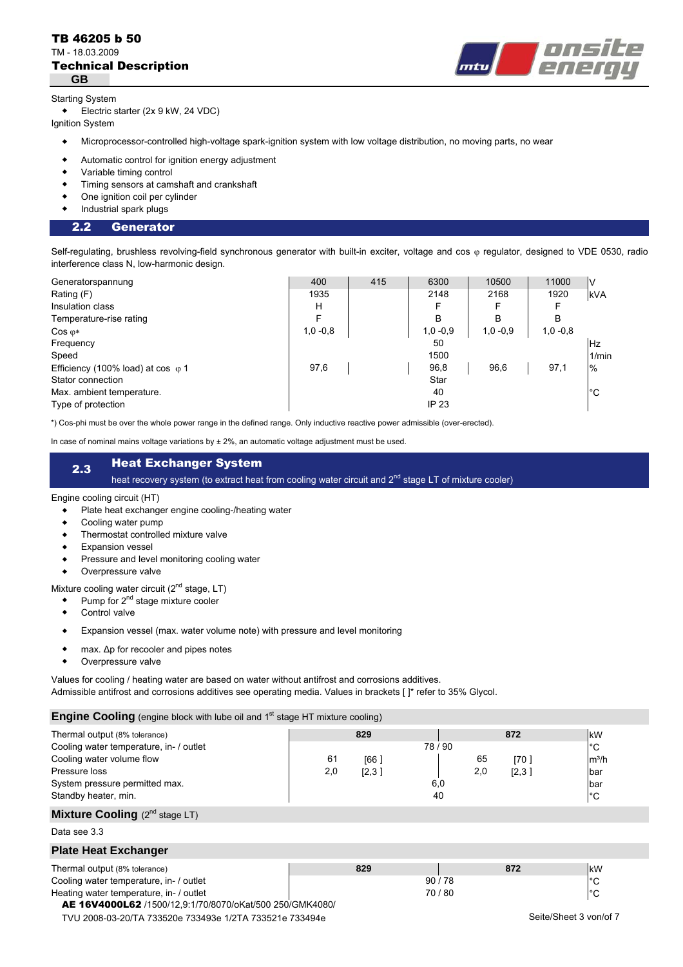# Technical Description TB 46205 b 50 TM - 18.03.2009 **GB**



# Starting System

Electric starter (2x 9 kW, 24 VDC)

Ignition System

- $\bullet$ Microprocessor-controlled high-voltage spark-ignition system with low voltage distribution, no moving parts, no wear
- $\bullet$ Automatic control for ignition energy adjustment
- $\bullet$ Variable timing control
- $\bullet$ Timing sensors at camshaft and crankshaft
- $\bullet$ One ignition coil per cylinder
- $\ddot{\bullet}$ Industrial spark plugs

#### 2.2 Generator

Self-regulating, brushless revolving-field synchronous generator with built-in exciter, voltage and cos « regulator, designed to VDE 0530, radio interference class N, low-harmonic design.

| Generatorspannung                         | 400        | 415 | 6300         | 10500      | 11000      | I٧         |
|-------------------------------------------|------------|-----|--------------|------------|------------|------------|
| Rating (F)                                | 1935       |     | 2148         | 2168       | 1920       | <b>kVA</b> |
| Insulation class                          | н          |     | F            |            |            |            |
| Temperature-rise rating                   |            |     | B            | B          | B          |            |
| $Cos \varphi*$                            | $1,0 -0.8$ |     | $1,0 -0.9$   | $1,0 -0.9$ | $1,0 -0.8$ |            |
| Frequency                                 |            |     | 50           |            |            | <b>Hz</b>  |
| Speed                                     |            |     | 1500         |            |            | 1/min      |
| Efficiency (100% load) at cos $\varphi$ 1 | 97,6       |     | 96,8         | 96,6       | 97,1       | $\%$       |
| Stator connection                         |            |     | Star         |            |            |            |
| Max. ambient temperature.                 |            |     | 40           |            |            | °С         |
| Type of protection                        |            |     | <b>IP 23</b> |            |            |            |

\*) Cos-phi must be over the whole power range in the defined range. Only inductive reactive power admissible (over-erected).

In case of nominal mains voltage variations by  $\pm 2\%$ , an automatic voltage adjustment must be used.

# 2.3 Heat Exchanger System

heat recovery system (to extract heat from cooling water circuit and 2<sup>nd</sup> stage LT of mixture cooler)

### Engine cooling circuit (HT)

- $\bullet$ Plate heat exchanger engine cooling-/heating water
- $\bullet$ Cooling water pump
- $\bullet$ Thermostat controlled mixture valve
- $\bullet$ Expansion vessel
- $\bullet$ Pressure and level monitoring cooling water
- $\bullet$ Overpressure valve

Mixture cooling water circuit (2<sup>nd</sup> stage, LT)

- $\bullet$ Pump for 2<sup>nd</sup> stage mixture cooler
- $\bullet$ Control valve
- $\bullet$ Expansion vessel (max. water volume note) with pressure and level monitoring
- $\bullet$ max. Δp for recooler and pipes notes
- $\bullet$ Overpressure valve

Values for cooling / heating water are based on water without antifrost and corrosions additives.

Admissible antifrost and corrosions additives see operating media. Values in brackets [ ]\* refer to 35% Glycol.

### **Engine Cooling** (engine block with lube oil and 1<sup>st</sup> stage HT mixture cooling)

| <b>Engine Cooling</b> (engine block with lube oil and 1 <sup>th</sup> stage HT mixture cooling)                                                                                  |           |                      |                    |                                   |                                                           |  |
|----------------------------------------------------------------------------------------------------------------------------------------------------------------------------------|-----------|----------------------|--------------------|-----------------------------------|-----------------------------------------------------------|--|
| Thermal output (8% tolerance)<br>Cooling water temperature, in- / outlet<br>Cooling water volume flow<br>Pressure loss<br>System pressure permitted max.<br>Standby heater, min. | 61<br>2,0 | 829<br>[66]<br>[2,3] | 78/90<br>6,0<br>40 | 872<br>65<br>[70]<br>2,0<br>[2,3] | kW<br>$^{\circ}C$<br>$m^3/h$<br>bar<br>bar<br>$^{\circ}C$ |  |
| <b>Mixture Cooling</b> $(2^{nd}$ stage LT)                                                                                                                                       |           |                      |                    |                                   |                                                           |  |
| Data see 3.3                                                                                                                                                                     |           |                      |                    |                                   |                                                           |  |
| <b>Plate Heat Exchanger</b>                                                                                                                                                      |           |                      |                    |                                   |                                                           |  |
| Thermal output (8% tolerance)<br>Cooling water temperature, in- / outlet<br>Heating water temperature, in- / outlet<br>AE 16V4000L62 /1500/12.9:1/70/8070/oKat/500 250/GMK4080/  |           | 829                  | 90/78<br>70/80     | 872                               | kW<br>$^{\circ}C$<br>$^{\circ}C$                          |  |
| TVU 2008-03-20/TA 733520e 733493e 1/2TA 733521e 733494e                                                                                                                          |           |                      |                    |                                   | Seite/Sheet 3 von/of 7                                    |  |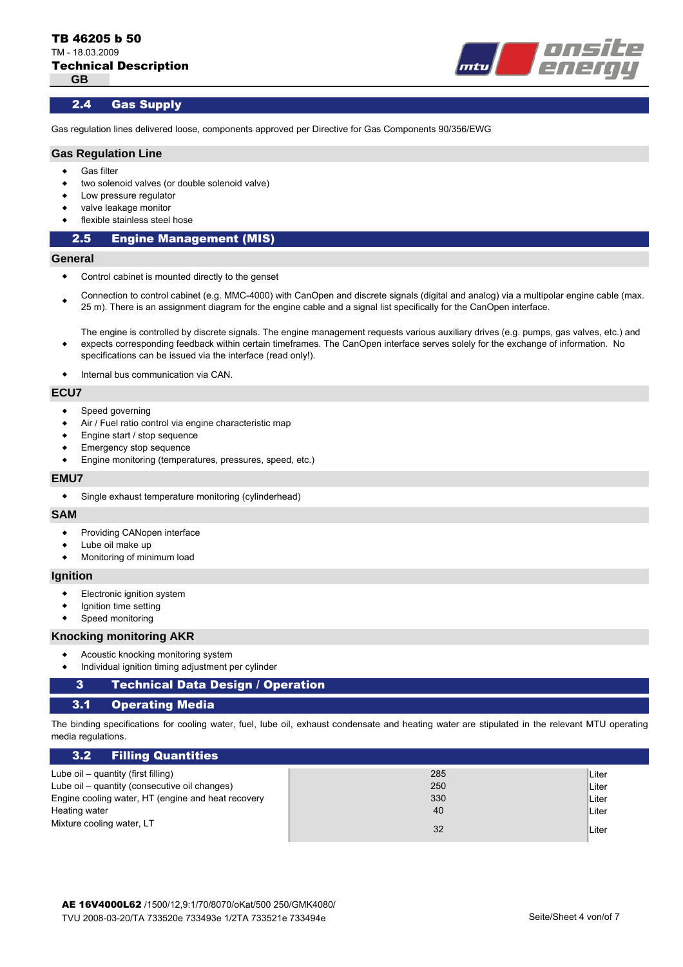

# 2.4 Gas Supply

Gas regulation lines delivered loose, components approved per Directive for Gas Components 90/356/EWG

# **Gas Regulation Line**

- $\bullet$ Gas filter
- $\bullet$ two solenoid valves (or double solenoid valve)
- $\bullet$ Low pressure regulator
- $\bullet$ valve leakage monitor
- $\bullet$ flexible stainless steel hose

### 2.5 Engine Management (MIS)

#### **General**

- $\bullet$ Control cabinet is mounted directly to the genset
- $\bullet$ Connection to control cabinet (e.g. MMC-4000) with CanOpen and discrete signals (digital and analog) via a multipolar engine cable (max. 25 m). There is an assignment diagram for the engine cable and a signal list specifically for the CanOpen interface.

The engine is controlled by discrete signals. The engine management requests various auxiliary drives (e.g. pumps, gas valves, etc.) and expects corresponding feedback within certain timeframes. The CanOpen interface serves solely for the exchange of information. No specifications can be issued via the interface (read only!).

 $\bullet$ Internal bus communication via CAN.

#### **ECU7**

 $\bullet$ 

- $\bullet$ Speed governing
- $\bullet$ Air / Fuel ratio control via engine characteristic map
- $\bullet$ Engine start / stop sequence
- $\bullet$ Emergency stop sequence
- $\blacktriangle$ Engine monitoring (temperatures, pressures, speed, etc.)

#### **EMU7**

 $\bullet$ Single exhaust temperature monitoring (cylinderhead)

#### **SAM**

- $\blacklozenge$ Providing CANopen interface
- $\bullet$ Lube oil make up
- $\bullet$ Monitoring of minimum load

### **Ignition**

- $\bullet$ Electronic ignition system
- $\bullet$ Ignition time setting
- $\bullet$ Speed monitoring

#### **Knocking monitoring AKR**

- $\bullet$ Acoustic knocking monitoring system
- $\bullet$ Individual ignition timing adjustment per cylinder

#### Technical Data Design / Operation 3

#### 3.1 Operating Media

The binding specifications for cooling water, fuel, lube oil, exhaust condensate and heating water are stipulated in the relevant MTU operating media regulations.

| 3.2 Filling Quantities                             |     |              |
|----------------------------------------------------|-----|--------------|
| Lube oil – quantity (first filling)                | 285 | Liter        |
| Lube oil – quantity (consecutive oil changes)      | 250 | <b>Liter</b> |
| Engine cooling water, HT (engine and heat recovery | 330 | <b>Liter</b> |
| Heating water                                      | 40  | <b>Liter</b> |
| Mixture cooling water, LT                          | 32  | Liter        |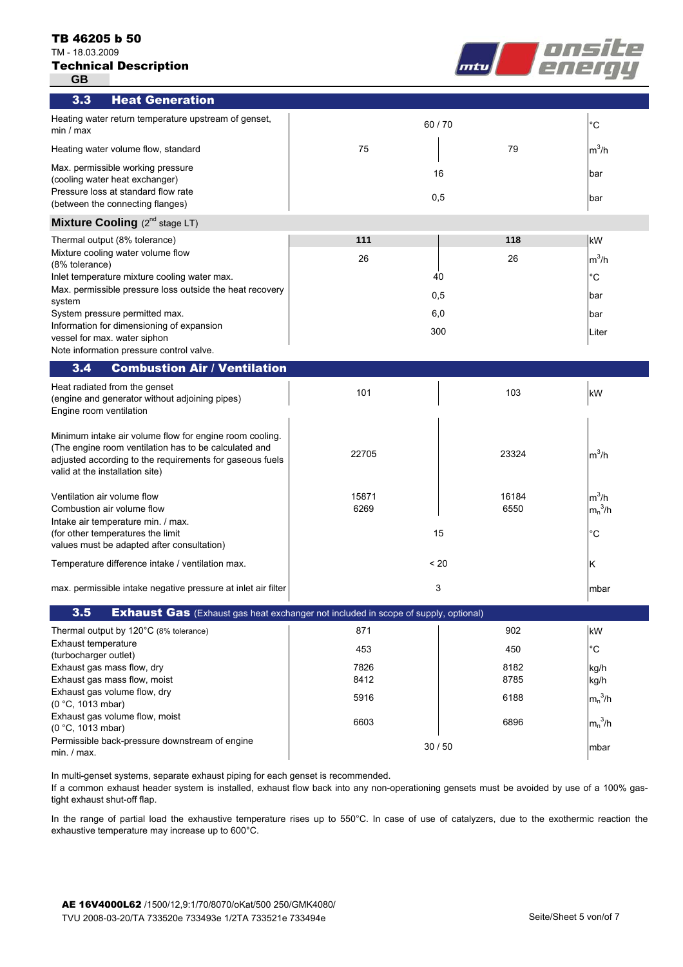#### TB 46205 b 50

TM - 18.03.2009

| <b>Technical Description</b> |  |  |  |
|------------------------------|--|--|--|
|------------------------------|--|--|--|

**GB**



| 3.3                                          | <b>Heat Generation</b>                                                                                                                                                       |           |       |              |
|----------------------------------------------|------------------------------------------------------------------------------------------------------------------------------------------------------------------------------|-----------|-------|--------------|
| min / max                                    | Heating water return temperature upstream of genset,                                                                                                                         | 60/70     |       | $^{\circ}C$  |
|                                              | Heating water volume flow, standard                                                                                                                                          | 75        | 79    | $m^3/h$      |
|                                              | Max. permissible working pressure<br>(cooling water heat exchanger)<br>Pressure loss at standard flow rate                                                                   | 16<br>0,5 |       | bar<br>bar   |
|                                              | (between the connecting flanges)                                                                                                                                             |           |       |              |
|                                              | Mixture Cooling (2 <sup>nd</sup> stage LT)                                                                                                                                   |           |       |              |
|                                              | Thermal output (8% tolerance)                                                                                                                                                | 111       | 118   | kW           |
| (8% tolerance)                               | Mixture cooling water volume flow                                                                                                                                            | 26        | 26    | $m^3/h$      |
|                                              | Inlet temperature mixture cooling water max.                                                                                                                                 | 40        |       | $^{\circ}C$  |
| system                                       | Max. permissible pressure loss outside the heat recovery                                                                                                                     | 0,5       |       | bar          |
|                                              | System pressure permitted max.                                                                                                                                               | 6,0       |       | bar          |
|                                              | Information for dimensioning of expansion                                                                                                                                    | 300       |       | Liter        |
|                                              | vessel for max. water siphon<br>Note information pressure control valve.                                                                                                     |           |       |              |
| 3.4                                          | <b>Combustion Air / Ventilation</b>                                                                                                                                          |           |       |              |
| Engine room ventilation                      | Heat radiated from the genset<br>(engine and generator without adjoining pipes)                                                                                              | 101       | 103   | kW           |
| valid at the installation site)              | Minimum intake air volume flow for engine room cooling.<br>(The engine room ventilation has to be calculated and<br>adjusted according to the requirements for gaseous fuels | 22705     | 23324 | $m^3/h$      |
| Ventilation air volume flow                  |                                                                                                                                                                              | 15871     | 16184 | $m^3/h$      |
| Combustion air volume flow                   |                                                                                                                                                                              | 6269      | 6550  | $m_n^3/h$    |
|                                              | Intake air temperature min. / max.<br>(for other temperatures the limit                                                                                                      | 15        |       | $^{\circ}C$  |
|                                              | values must be adapted after consultation)                                                                                                                                   |           |       |              |
|                                              | Temperature difference intake / ventilation max.                                                                                                                             | < 20      |       | κ            |
|                                              | max. permissible intake negative pressure at inlet air filter                                                                                                                | 3         |       | mbar         |
| 3.5                                          | <b>Exhaust Gas</b> (Exhaust gas heat exchanger not included in scope of supply, optional)                                                                                    |           |       |              |
|                                              | Thermal output by 120°C (8% tolerance)                                                                                                                                       | 871       | 902   | kW           |
| Exhaust temperature<br>(turbocharger outlet) |                                                                                                                                                                              | 453       | 450   | $^{\circ}$ C |
| Exhaust gas mass flow, dry                   |                                                                                                                                                                              | 7826      | 8182  | kg/h         |
|                                              | Exhaust gas mass flow, moist                                                                                                                                                 | 8412      | 8785  | kg/h         |
| (0 °C, 1013 mbar)                            | Exhaust gas volume flow, dry                                                                                                                                                 | 5916      | 6188  | $m_n^3/h$    |
| (0 °C, 1013 mbar)                            | Exhaust gas volume flow, moist                                                                                                                                               | 6603      | 6896  | $m_n^3/h$    |
| min. / max.                                  | Permissible back-pressure downstream of engine                                                                                                                               | 30/50     |       | mbar         |

In multi-genset systems, separate exhaust piping for each genset is recommended.

If a common exhaust header system is installed, exhaust flow back into any non-operationing gensets must be avoided by use of a 100% gastight exhaust shut-off flap.

In the range of partial load the exhaustive temperature rises up to 550°C. In case of use of catalyzers, due to the exothermic reaction the exhaustive temperature may increase up to 600°C.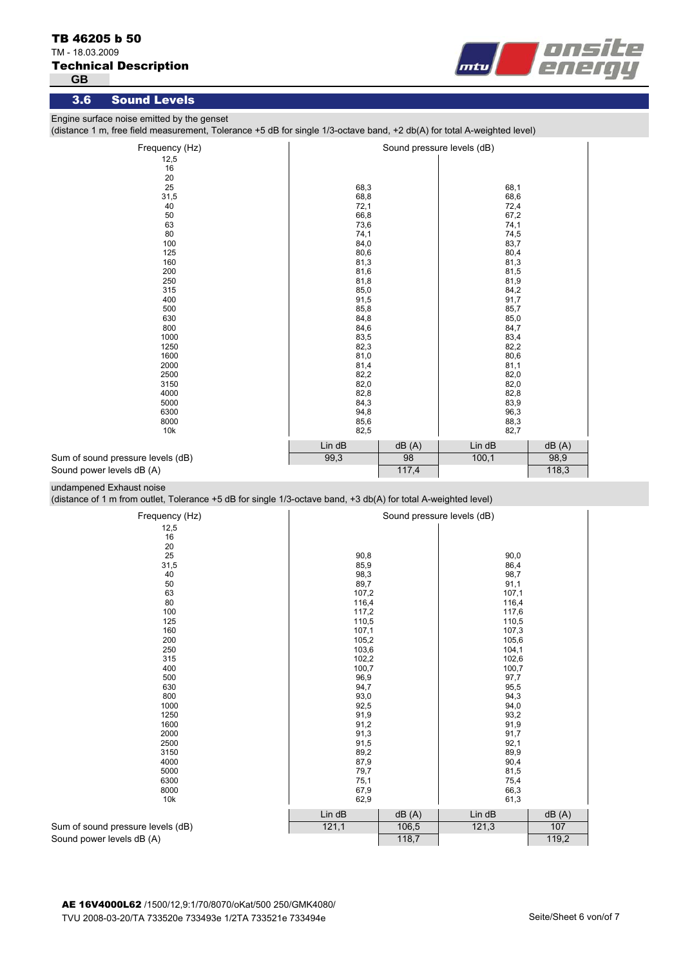# TM - 18.03.2009

Technical Description

**GB**



# 3.6 Sound Levels

Engine surface noise emitted by the genset

(distance 1 m, free field measurement, Tolerance +5 dB for single 1/3-octave band, +2 db(A) for total A-weighted level)

| Frequency (Hz)                    |        |       | Sound pressure levels (dB) |       |
|-----------------------------------|--------|-------|----------------------------|-------|
| 12,5                              |        |       |                            |       |
| 16                                |        |       |                            |       |
| 20                                |        |       |                            |       |
| 25                                | 68,3   |       | 68,1                       |       |
| 31,5                              | 68,8   |       | 68,6                       |       |
| 40                                | 72,1   |       | 72,4                       |       |
| 50                                | 66,8   |       | 67,2                       |       |
| 63                                | 73,6   |       | 74,1                       |       |
| 80                                | 74,1   |       | 74,5                       |       |
| 100                               | 84,0   |       | 83,7                       |       |
| 125                               | 80,6   |       | 80,4                       |       |
| 160                               | 81,3   |       | 81,3                       |       |
| 200                               | 81,6   |       | 81,5                       |       |
| 250                               | 81,8   |       | 81,9                       |       |
| 315                               | 85,0   |       | 84,2                       |       |
| 400                               | 91,5   |       | 91,7                       |       |
| 500                               | 85,8   |       | 85,7                       |       |
| 630                               | 84,8   |       | 85,0                       |       |
| 800                               | 84,6   |       | 84,7                       |       |
| 1000                              | 83,5   |       | 83,4                       |       |
| 1250                              | 82,3   |       | 82,2                       |       |
| 1600                              | 81,0   |       | 80,6                       |       |
| 2000                              | 81,4   |       | 81,1                       |       |
| 2500                              | 82,2   |       | 82,0                       |       |
| 3150                              | 82,0   |       | 82,0                       |       |
| 4000                              | 82,8   |       | 82,8                       |       |
| 5000                              | 84,3   |       | 83,9                       |       |
| 6300                              | 94,8   |       | 96,3                       |       |
| 8000                              | 85,6   |       | 88,3                       |       |
| 10k                               | 82,5   |       | 82,7                       |       |
|                                   | Lin dB | dB(A) | Lin dB                     | dB(A) |
| Sum of sound pressure levels (dB) | 99,3   | 98    | 100,1                      | 98,9  |
| Sound power levels dB (A)         |        | 117,4 |                            | 118,3 |

undampened Exhaust noise

(distance of 1 m from outlet, Tolerance +5 dB for single 1/3-octave band, +3 db(A) for total A-weighted level)

| Frequency (Hz)                    |        |       | Sound pressure levels (dB) |       |  |
|-----------------------------------|--------|-------|----------------------------|-------|--|
| 12,5                              |        |       |                            |       |  |
| 16                                |        |       |                            |       |  |
| 20                                |        |       |                            |       |  |
| 25                                | 90,8   |       | 90,0                       |       |  |
| 31,5                              | 85,9   |       | 86,4                       |       |  |
| 40                                | 98,3   |       | 98,7                       |       |  |
| 50                                | 89,7   |       | 91,1                       |       |  |
| 63                                | 107,2  |       | 107,1                      |       |  |
| 80                                | 116,4  |       | 116,4                      |       |  |
| 100                               | 117,2  |       | 117,6                      |       |  |
| 125                               | 110,5  |       | 110,5                      |       |  |
| 160                               | 107,1  |       | 107,3                      |       |  |
| 200                               | 105,2  |       | 105,6                      |       |  |
| 250                               | 103,6  |       | 104,1                      |       |  |
| 315                               | 102,2  |       | 102,6                      |       |  |
| 400                               | 100,7  |       | 100,7                      |       |  |
| 500                               | 96,9   |       | 97,7                       |       |  |
| 630                               | 94,7   |       | 95,5                       |       |  |
| 800                               | 93,0   |       | 94,3                       |       |  |
| 1000                              | 92,5   |       | 94,0                       |       |  |
| 1250                              | 91,9   |       | 93,2                       |       |  |
| 1600                              | 91,2   |       | 91,9                       |       |  |
| 2000                              | 91,3   |       | 91,7                       |       |  |
| 2500                              | 91,5   |       | 92,1                       |       |  |
| 3150                              | 89,2   |       | 89,9                       |       |  |
| 4000                              | 87,9   |       | 90,4                       |       |  |
| 5000                              | 79,7   |       | 81,5                       |       |  |
| 6300                              | 75,1   |       | 75,4                       |       |  |
| 8000                              | 67,9   |       | 66,3                       |       |  |
| 10k                               | 62,9   |       | 61,3                       |       |  |
|                                   | Lin dB | dB(A) | Lin dB                     | dB(A) |  |
| Sum of sound pressure levels (dB) | 121,1  | 106,5 | 121,3                      | 107   |  |
| Sound power levels dB (A)         |        | 118,7 |                            | 119,2 |  |